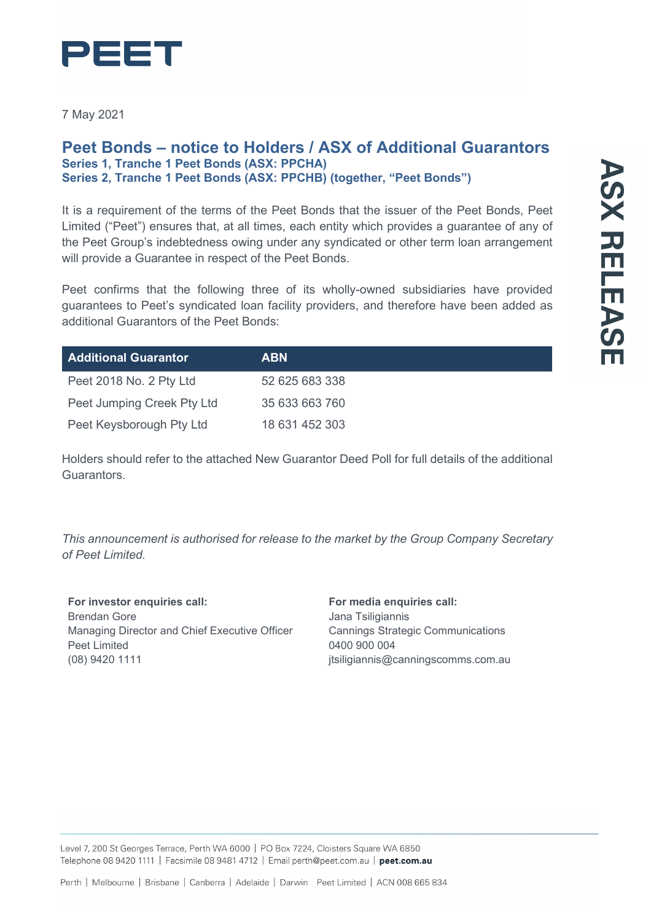

7 May 2021

### **Peet Bonds – notice to Holders / ASX of Additional Guarantors Series 1, Tranche 1 Peet Bonds (ASX: PPCHA) Series 2, Tranche 1 Peet Bonds (ASX: PPCHB) (together, "Peet Bonds")**

It is a requirement of the terms of the Peet Bonds that the issuer of the Peet Bonds, Peet Limited ("Peet") ensures that, at all times, each entity which provides a guarantee of any of the Peet Group's indebtedness owing under any syndicated or other term loan arrangement will provide a Guarantee in respect of the Peet Bonds.

Peet confirms that the following three of its wholly-owned subsidiaries have provided guarantees to Peet's syndicated loan facility providers, and therefore have been added as additional Guarantors of the Peet Bonds:

| <b>Additional Guarantor</b> | <b>ABN</b>     |
|-----------------------------|----------------|
| Peet 2018 No. 2 Pty Ltd     | 52 625 683 338 |
| Peet Jumping Creek Pty Ltd  | 35 633 663 760 |
| Peet Keysborough Pty Ltd    | 18 631 452 303 |

Holders should refer to the attached New Guarantor Deed Poll for full details of the additional Guarantors.

*This announcement is authorised for release to the market by the Group Company Secretary of Peet Limited.*

**For investor enquiries call:** Brendan Gore Managing Director and Chief Executive Officer Peet Limited (08) 9420 1111

### **For media enquiries call:** Jana Tsiligiannis Cannings Strategic Communications 0400 900 004 jtsiligiannis@canningscomms.com.au

Level 7, 200 St Georges Terrace, Perth WA 6000 | PO Box 7224, Cloisters Square WA 6850 Telephone 08 9420 1111 | Facsimile 08 9481 4712 | Email perth@peet.com.au | peet.com.au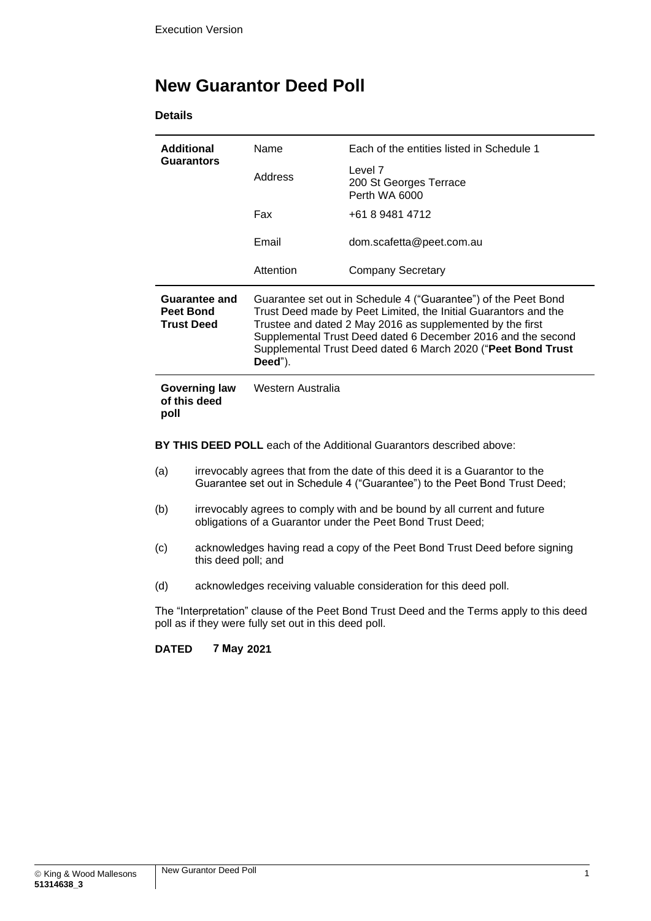## **New Guarantor Deed Poll**

**Details**

| <b>Additional</b><br><b>Guarantors</b>                 | Name                                                                                                                                                                                                                                                                                                                                      | Each of the entities listed in Schedule 1          |
|--------------------------------------------------------|-------------------------------------------------------------------------------------------------------------------------------------------------------------------------------------------------------------------------------------------------------------------------------------------------------------------------------------------|----------------------------------------------------|
|                                                        | Address                                                                                                                                                                                                                                                                                                                                   | Level 7<br>200 St Georges Terrace<br>Perth WA 6000 |
|                                                        | Fax                                                                                                                                                                                                                                                                                                                                       | +61 8 9481 4712                                    |
|                                                        | Email                                                                                                                                                                                                                                                                                                                                     | dom.scafetta@peet.com.au                           |
|                                                        | Attention                                                                                                                                                                                                                                                                                                                                 | Company Secretary                                  |
| <b>Guarantee and</b><br>Peet Bond<br><b>Trust Deed</b> | Guarantee set out in Schedule 4 ("Guarantee") of the Peet Bond<br>Trust Deed made by Peet Limited, the Initial Guarantors and the<br>Trustee and dated 2 May 2016 as supplemented by the first<br>Supplemental Trust Deed dated 6 December 2016 and the second<br>Supplemental Trust Deed dated 6 March 2020 ("Peet Bond Trust<br>Deed"). |                                                    |
| Governing law<br>of this deed<br>poll                  | Western Australia                                                                                                                                                                                                                                                                                                                         |                                                    |

**BY THIS DEED POLL** each of the Additional Guarantors described above:

- (a) irrevocably agrees that from the date of this deed it is a Guarantor to the Guarantee set out in Schedule 4 ("Guarantee") to the Peet Bond Trust Deed;
- (b) irrevocably agrees to comply with and be bound by all current and future obligations of a Guarantor under the Peet Bond Trust Deed;
- (c) acknowledges having read a copy of the Peet Bond Trust Deed before signing this deed poll; and
- (d) acknowledges receiving valuable consideration for this deed poll.

The "Interpretation" clause of the Peet Bond Trust Deed and the Terms apply to this deed poll as if they were fully set out in this deed poll.

#### **DATED 7 May 2021**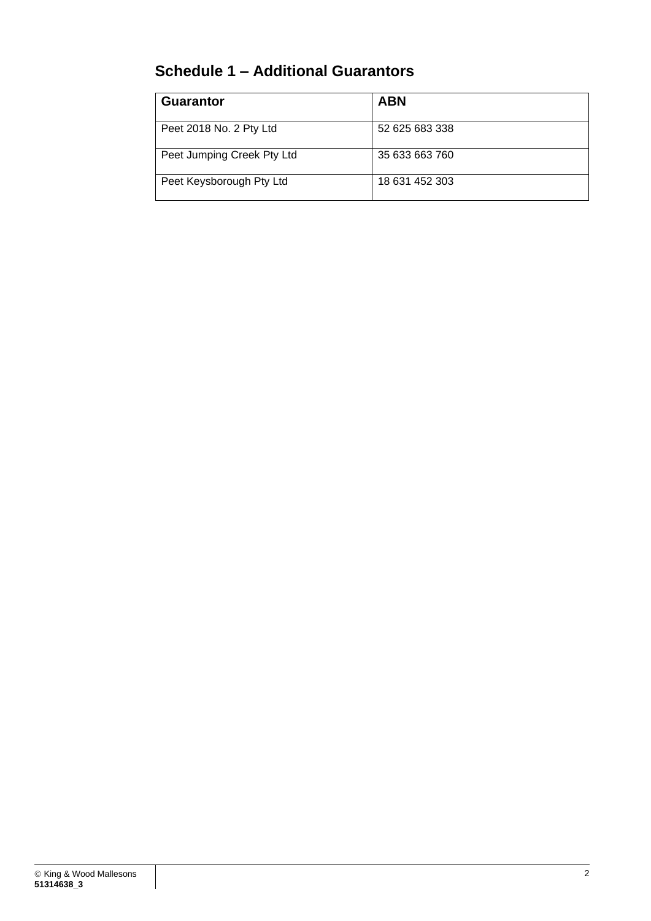# **Schedule 1 – Additional Guarantors**

| <b>Guarantor</b>           | <b>ABN</b>     |
|----------------------------|----------------|
| Peet 2018 No. 2 Pty Ltd    | 52 625 683 338 |
| Peet Jumping Creek Pty Ltd | 35 633 663 760 |
| Peet Keysborough Pty Ltd   | 18 631 452 303 |